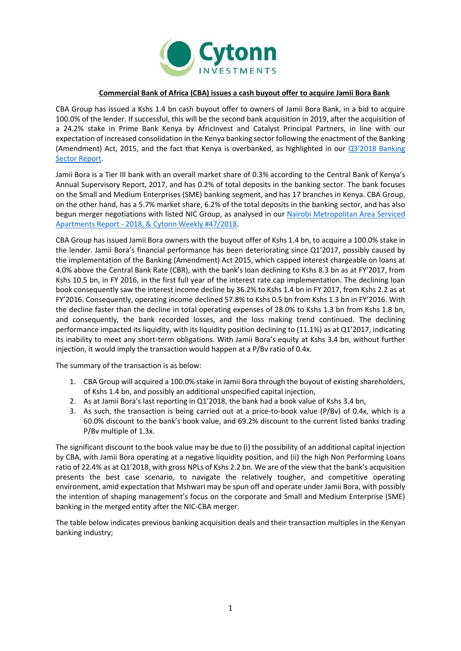

## **Commercial Bank of Africa (CBA) issues a cash buyout offer to acquire Jamii Bora Bank**

CBA Group has issued a Kshs 1.4 bn cash buyout offer to owners of Jamii Bora Bank, in a bid to acquire 100.0% of the lender. If successful, this will be the second bank acquisition in 2019, after the acquisition of a 24.2% stake in Prime Bank Kenya by AfricInvest and Catalyst Principal Partners, in line with our expectation of increased consolidation in the Kenya banking sector following the enactment of the Banking (Amendment) Act, 2015, and the fact that Kenya is overbanked, as highlighted in our [Q3'2018 Banking](https://cytonn.com/uploads/downloads/q32018-banking-sector-report.pdf)  [Sector Report.](https://cytonn.com/uploads/downloads/q32018-banking-sector-report.pdf)

Jamii Bora is a Tier III bank with an overall market share of 0.3% according to the Central Bank of Kenya's Annual Supervisory Report, 2017, and has 0.2% of total deposits in the banking sector. The bank focuses on the Small and Medium Enterprises (SME) banking segment, and has 17 branches in Kenya. CBA Group, on the other hand, has a 5.7% market share, 6.2% of the total deposits in the banking sector, and has also begun merger negotiations with listed NIC Group, as analysed in our [Nairobi Metropolitan Area Serviced](file:///C:/Users/ikagiri/Downloads/Nairobi%20Metropolitan%20Area%20Serviced%20Apartments%20Report%20-%202018,%20&%20Cytonn%20Weekly%2347/2018)  Apartments Report - [2018, & Cytonn Weekly #47/2018.](file:///C:/Users/ikagiri/Downloads/Nairobi%20Metropolitan%20Area%20Serviced%20Apartments%20Report%20-%202018,%20&%20Cytonn%20Weekly%2347/2018)

CBA Group has issued Jamii Bora owners with the buyout offer of Kshs 1.4 bn, to acquire a 100.0% stake in the lender. Jamii Bora's financial performance has been deteriorating since Q1'2017, possibly caused by the implementation of the Banking (Amendment) Act 2015, which capped interest chargeable on loans at 4.0% above the Central Bank Rate (CBR), with the bank's loan declining to Kshs 8.3 bn as at FY'2017, from Kshs 10.5 bn, in FY 2016, in the first full year of the interest rate cap implementation. The declining loan book consequently saw the interest income decline by 36.2% to Kshs 1.4 bn in FY 2017, from Kshs 2.2 as at FY'2016. Consequently, operating income declined 57.8% to Kshs 0.5 bn from Kshs 1.3 bn in FY'2016. With the decline faster than the decline in total operating expenses of 28.0% to Kshs 1.3 bn from Kshs 1.8 bn, and consequently, the bank recorded losses, and the loss making trend continued. The declining performance impacted its liquidity, with its liquidity position declining to (11.1%) as at Q1'2017, indicating its inability to meet any short-term obligations. With Jamii Bora's equity at Kshs 3.4 bn, without further injection, it would imply the transaction would happen at a P/Bv ratio of 0.4x.

The summary of the transaction is as below:

- 1. CBA Group will acquired a 100.0% stake in Jamii Bora through the buyout of existing shareholders, of Kshs 1.4 bn, and possibly an additional unspecified capital injection,
- 2. As at Jamii Bora's last reporting in Q1'2018, the bank had a book value of Kshs 3.4 bn,
- 3. As such, the transaction is being carried out at a price-to-book value (P/Bv) of 0.4x, which is a 60.0% discount to the bank's book value, and 69.2% discount to the current listed banks trading P/Bv multiple of 1.3x.

The significant discount to the book value may be due to (i) the possibility of an additional capital injection by CBA, with Jamii Bora operating at a negative liquidity position, and (ii) the high Non Performing Loans ratio of 22.4% as at Q1'2018, with gross NPLs of Kshs 2.2 bn. We are of the view that the bank's acquisition presents the best case scenario, to navigate the relatively tougher, and competitive operating environment, amid expectation that Mshwari may be spun off and operate under Jamii Bora, with possibly the intention of shaping management's focus on the corporate and Small and Medium Enterprise (SME) banking in the merged entity after the NIC-CBA merger.

The table below indicates previous banking acquisition deals and their transaction multiples in the Kenyan banking industry;